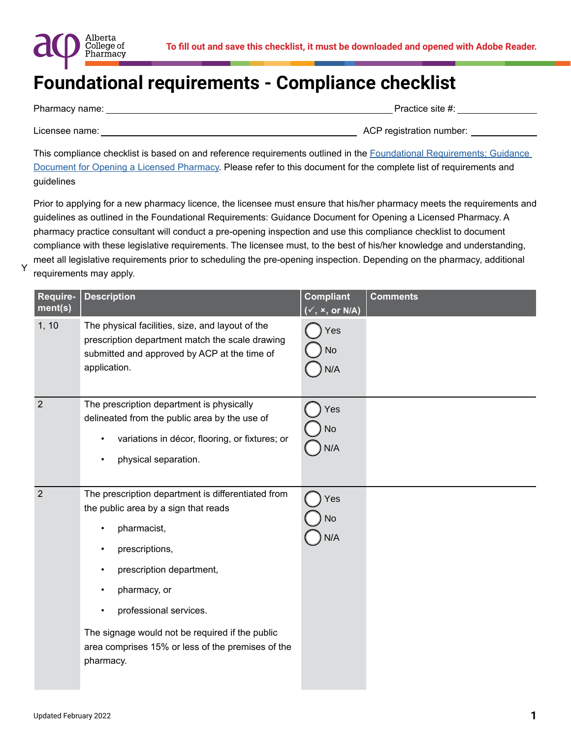

| Pharmacy name: | Practice site #:         |
|----------------|--------------------------|
|                |                          |
| Licensee name: | ACP registration number: |

This compliance checklist is based on and reference requirements outlined in the Foundational Requirements: Guidance [Document for Opening a Licensed Pharmacy.](https://abpharmacy.ca/sites/default/files/FoundationalRequirementsGuidanceDocument.pdf) Please refer to this document for the complete list of requirements and guidelines

Prior to applying for a new pharmacy licence, the licensee must ensure that his/her pharmacy meets the requirements and guidelines as outlined in the Foundational Requirements: Guidance Document for Opening a Licensed Pharmacy. A pharmacy practice consultant will conduct a pre-opening inspection and use this compliance checklist to document compliance with these legislative requirements. The licensee must, to the best of his/her knowledge and understanding, meet all legislative requirements prior to scheduling the pre-opening inspection. Depending on the pharmacy, additional requirements may apply.

| Require-<br>ment(s) | <b>Description</b>                                                                                                                                                                                                                                                                                                                                                              | <b>Compliant</b><br>$\overline{(\checkmark, \checkmark)}$ or N/A) | <b>Comments</b> |
|---------------------|---------------------------------------------------------------------------------------------------------------------------------------------------------------------------------------------------------------------------------------------------------------------------------------------------------------------------------------------------------------------------------|-------------------------------------------------------------------|-----------------|
| 1, 10               | The physical facilities, size, and layout of the<br>prescription department match the scale drawing<br>submitted and approved by ACP at the time of<br>application.                                                                                                                                                                                                             | Yes<br><b>No</b><br>N/A                                           |                 |
| $\overline{2}$      | The prescription department is physically<br>delineated from the public area by the use of<br>variations in décor, flooring, or fixtures; or<br>$\bullet$<br>physical separation.<br>$\bullet$                                                                                                                                                                                  | Yes<br>No<br>N/A                                                  |                 |
| $\overline{2}$      | The prescription department is differentiated from<br>the public area by a sign that reads<br>pharmacist,<br>$\bullet$<br>prescriptions,<br>$\bullet$<br>prescription department,<br>$\bullet$<br>pharmacy, or<br>٠<br>professional services.<br>$\bullet$<br>The signage would not be required if the public<br>area comprises 15% or less of the premises of the<br>pharmacy. | Yes<br>No<br>N/A                                                  |                 |

Y

Alberta College of Pharmacy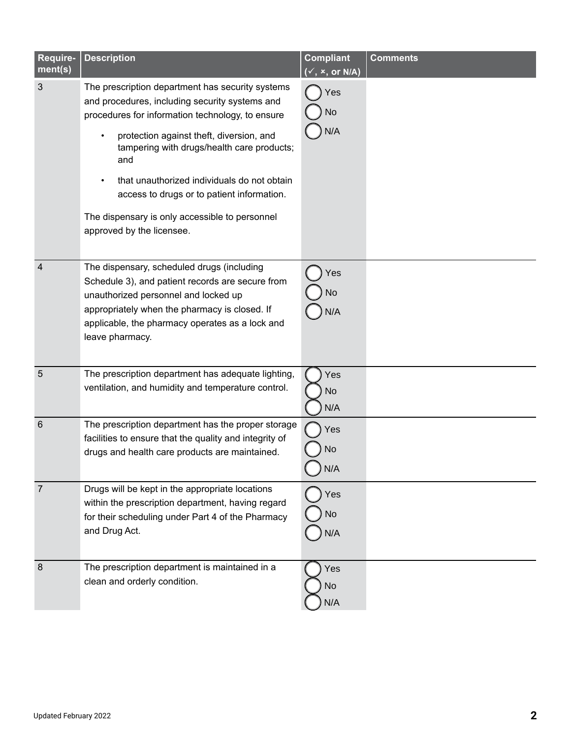| Require-<br>ment(s) | <b>Description</b>                                                                                                                                                                                                                                                                                                                                                                                                                  | <b>Compliant</b><br>$(\checkmark, x, or N/A)$ | <b>Comments</b> |
|---------------------|-------------------------------------------------------------------------------------------------------------------------------------------------------------------------------------------------------------------------------------------------------------------------------------------------------------------------------------------------------------------------------------------------------------------------------------|-----------------------------------------------|-----------------|
| 3                   | The prescription department has security systems<br>and procedures, including security systems and<br>procedures for information technology, to ensure<br>protection against theft, diversion, and<br>tampering with drugs/health care products;<br>and<br>that unauthorized individuals do not obtain<br>access to drugs or to patient information.<br>The dispensary is only accessible to personnel<br>approved by the licensee. | Yes<br>No<br>N/A                              |                 |
| $\overline{4}$      | The dispensary, scheduled drugs (including<br>Schedule 3), and patient records are secure from<br>unauthorized personnel and locked up<br>appropriately when the pharmacy is closed. If<br>applicable, the pharmacy operates as a lock and<br>leave pharmacy.                                                                                                                                                                       | Yes<br>No<br>N/A                              |                 |
| 5                   | The prescription department has adequate lighting,<br>ventilation, and humidity and temperature control.                                                                                                                                                                                                                                                                                                                            | Yes<br><b>No</b><br>N/A                       |                 |
| $6\phantom{1}6$     | The prescription department has the proper storage<br>facilities to ensure that the quality and integrity of<br>drugs and health care products are maintained.                                                                                                                                                                                                                                                                      | Yes<br><b>No</b><br>N/A                       |                 |
| $\overline{7}$      | Drugs will be kept in the appropriate locations<br>within the prescription department, having regard<br>for their scheduling under Part 4 of the Pharmacy<br>and Drug Act.                                                                                                                                                                                                                                                          | Yes<br>No<br>N/A                              |                 |
| $\boldsymbol{8}$    | The prescription department is maintained in a<br>clean and orderly condition.                                                                                                                                                                                                                                                                                                                                                      | Yes<br>No<br>N/A                              |                 |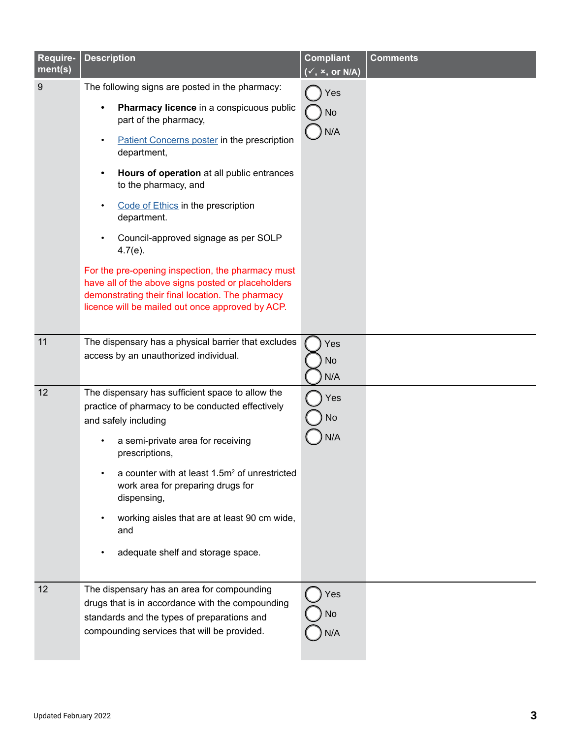| Require-<br>ment(s) | <b>Description</b>                                                                                                                                                                                                                                                                                                                                                                                                                                                                                                                                                                                                                        | <b>Compliant</b><br>(v, x, or N/A) | <b>Comments</b> |
|---------------------|-------------------------------------------------------------------------------------------------------------------------------------------------------------------------------------------------------------------------------------------------------------------------------------------------------------------------------------------------------------------------------------------------------------------------------------------------------------------------------------------------------------------------------------------------------------------------------------------------------------------------------------------|------------------------------------|-----------------|
| 9                   | The following signs are posted in the pharmacy:<br>Pharmacy licence in a conspicuous public<br>$\bullet$<br>part of the pharmacy,<br><b>Patient Concerns poster in the prescription</b><br>$\bullet$<br>department,<br>Hours of operation at all public entrances<br>٠<br>to the pharmacy, and<br>Code of Ethics in the prescription<br>$\bullet$<br>department.<br>Council-approved signage as per SOLP<br>$4.7(e)$ .<br>For the pre-opening inspection, the pharmacy must<br>have all of the above signs posted or placeholders<br>demonstrating their final location. The pharmacy<br>licence will be mailed out once approved by ACP. | Yes<br><b>No</b><br>N/A            |                 |
| 11                  | The dispensary has a physical barrier that excludes<br>access by an unauthorized individual.                                                                                                                                                                                                                                                                                                                                                                                                                                                                                                                                              | Yes<br><b>No</b><br>N/A            |                 |
| 12                  | The dispensary has sufficient space to allow the<br>practice of pharmacy to be conducted effectively<br>and safely including<br>a semi-private area for receiving<br>prescriptions,<br>a counter with at least 1.5m <sup>2</sup> of unrestricted<br>work area for preparing drugs for<br>dispensing,<br>working aisles that are at least 90 cm wide,<br>$\bullet$<br>and<br>adequate shelf and storage space.                                                                                                                                                                                                                             | Yes<br>No<br>N/A                   |                 |
| 12                  | The dispensary has an area for compounding<br>drugs that is in accordance with the compounding<br>standards and the types of preparations and<br>compounding services that will be provided.                                                                                                                                                                                                                                                                                                                                                                                                                                              | Yes<br>No<br>N/A                   |                 |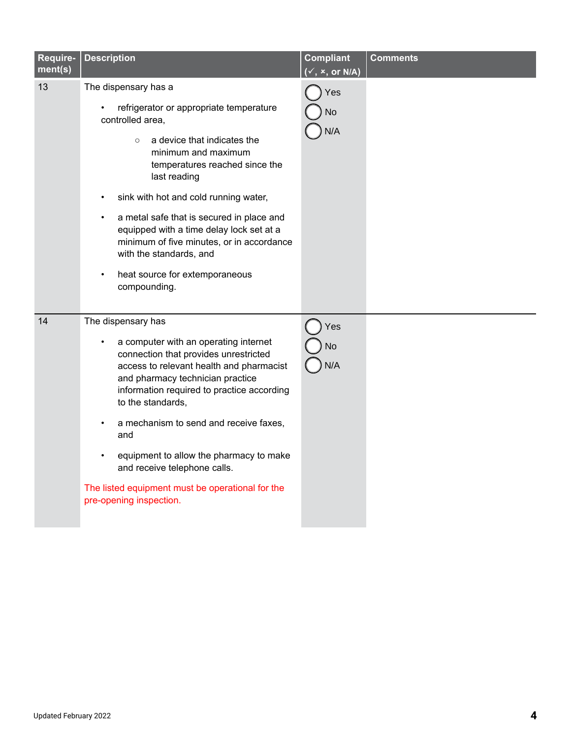| Require-<br>ment(s) | <b>Description</b>                                                                                                                                                                                                                                                                                                                                                                                                                                                              | <b>Compliant</b><br>$(\checkmark, x, or N/A)$ | <b>Comments</b> |
|---------------------|---------------------------------------------------------------------------------------------------------------------------------------------------------------------------------------------------------------------------------------------------------------------------------------------------------------------------------------------------------------------------------------------------------------------------------------------------------------------------------|-----------------------------------------------|-----------------|
| 13                  | The dispensary has a<br>refrigerator or appropriate temperature<br>controlled area,<br>a device that indicates the<br>$\circ$<br>minimum and maximum<br>temperatures reached since the<br>last reading<br>sink with hot and cold running water,<br>a metal safe that is secured in place and<br>$\bullet$<br>equipped with a time delay lock set at a<br>minimum of five minutes, or in accordance<br>with the standards, and<br>heat source for extemporaneous<br>compounding. | Yes<br>No<br>N/A                              |                 |
| 14                  | The dispensary has<br>a computer with an operating internet<br>connection that provides unrestricted<br>access to relevant health and pharmacist<br>and pharmacy technician practice<br>information required to practice according<br>to the standards,<br>a mechanism to send and receive faxes,<br>and<br>equipment to allow the pharmacy to make<br>and receive telephone calls.<br>The listed equipment must be operational for the<br>pre-opening inspection.              | Yes<br>No<br>N/A                              |                 |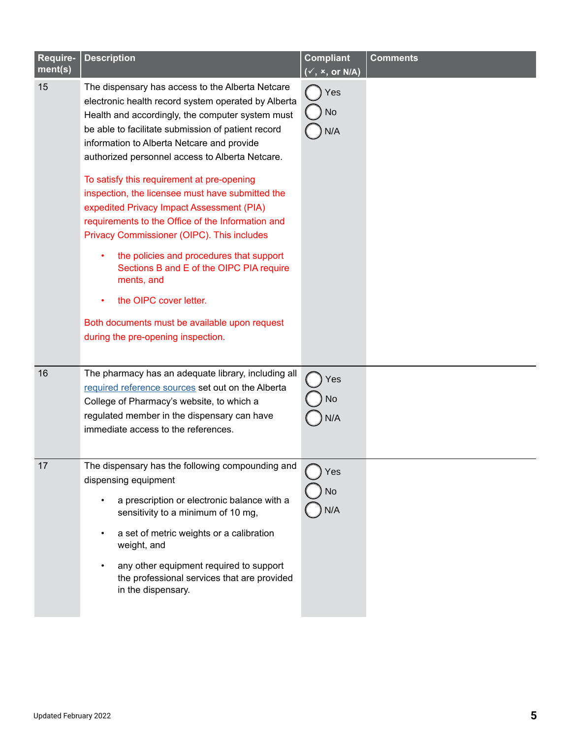| Require-<br>ment(s) | <b>Description</b>                                                                                                                                                                                                                                                                                                                                                                                                                                                                                                                                                                                                                                                                                                                                                                          | <b>Compliant</b><br>$(\checkmark, x, or N/A)$ | <b>Comments</b> |
|---------------------|---------------------------------------------------------------------------------------------------------------------------------------------------------------------------------------------------------------------------------------------------------------------------------------------------------------------------------------------------------------------------------------------------------------------------------------------------------------------------------------------------------------------------------------------------------------------------------------------------------------------------------------------------------------------------------------------------------------------------------------------------------------------------------------------|-----------------------------------------------|-----------------|
| 15                  | The dispensary has access to the Alberta Netcare<br>electronic health record system operated by Alberta<br>Health and accordingly, the computer system must<br>be able to facilitate submission of patient record<br>information to Alberta Netcare and provide<br>authorized personnel access to Alberta Netcare.<br>To satisfy this requirement at pre-opening<br>inspection, the licensee must have submitted the<br>expedited Privacy Impact Assessment (PIA)<br>requirements to the Office of the Information and<br>Privacy Commissioner (OIPC). This includes<br>the policies and procedures that support<br>Sections B and E of the OIPC PIA require<br>ments, and<br>the OIPC cover letter.<br>Both documents must be available upon request<br>during the pre-opening inspection. | Yes<br>No<br>N/A                              |                 |
| 16                  | The pharmacy has an adequate library, including all<br>required reference sources set out on the Alberta<br>College of Pharmacy's website, to which a<br>regulated member in the dispensary can have<br>immediate access to the references.                                                                                                                                                                                                                                                                                                                                                                                                                                                                                                                                                 | Yes<br>No<br>N/A                              |                 |
| 17                  | The dispensary has the following compounding and<br>dispensing equipment<br>a prescription or electronic balance with a<br>sensitivity to a minimum of 10 mg,<br>a set of metric weights or a calibration<br>weight, and<br>any other equipment required to support<br>the professional services that are provided<br>in the dispensary.                                                                                                                                                                                                                                                                                                                                                                                                                                                    | Yes<br>No<br>N/A                              |                 |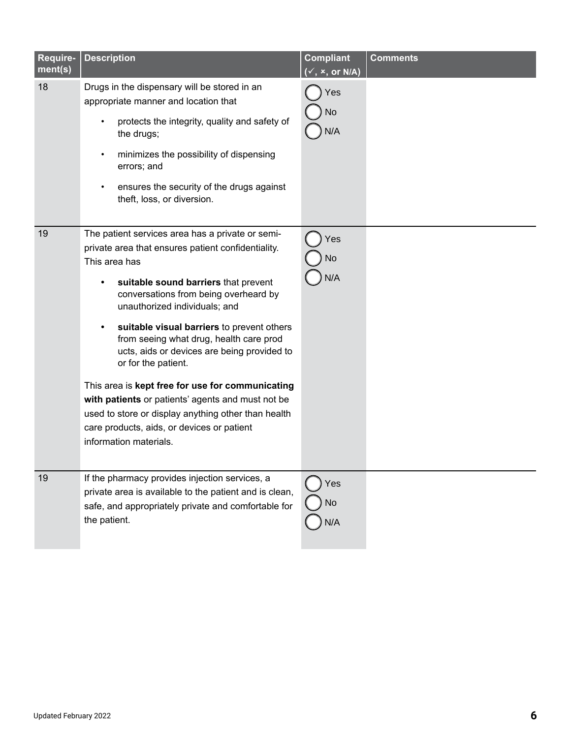| Require-<br>ment(s) | <b>Description</b>                                                                                                                                                                                                                                                                                                                                                                                                                                                                                                                                                                                                                               | <b>Compliant</b><br>$(\checkmark, x, or N/A)$ | <b>Comments</b> |
|---------------------|--------------------------------------------------------------------------------------------------------------------------------------------------------------------------------------------------------------------------------------------------------------------------------------------------------------------------------------------------------------------------------------------------------------------------------------------------------------------------------------------------------------------------------------------------------------------------------------------------------------------------------------------------|-----------------------------------------------|-----------------|
| 18                  | Drugs in the dispensary will be stored in an<br>appropriate manner and location that<br>protects the integrity, quality and safety of<br>the drugs;<br>minimizes the possibility of dispensing<br>٠<br>errors; and<br>ensures the security of the drugs against<br>theft, loss, or diversion.                                                                                                                                                                                                                                                                                                                                                    | Yes<br>No<br>N/A                              |                 |
| 19                  | The patient services area has a private or semi-<br>private area that ensures patient confidentiality.<br>This area has<br>suitable sound barriers that prevent<br>conversations from being overheard by<br>unauthorized individuals; and<br>suitable visual barriers to prevent others<br>from seeing what drug, health care prod<br>ucts, aids or devices are being provided to<br>or for the patient.<br>This area is kept free for use for communicating<br>with patients or patients' agents and must not be<br>used to store or display anything other than health<br>care products, aids, or devices or patient<br>information materials. | Yes<br>No<br>N/A                              |                 |
| 19                  | If the pharmacy provides injection services, a<br>private area is available to the patient and is clean,<br>safe, and appropriately private and comfortable for<br>the patient.                                                                                                                                                                                                                                                                                                                                                                                                                                                                  | Yes<br>No<br>N/A                              |                 |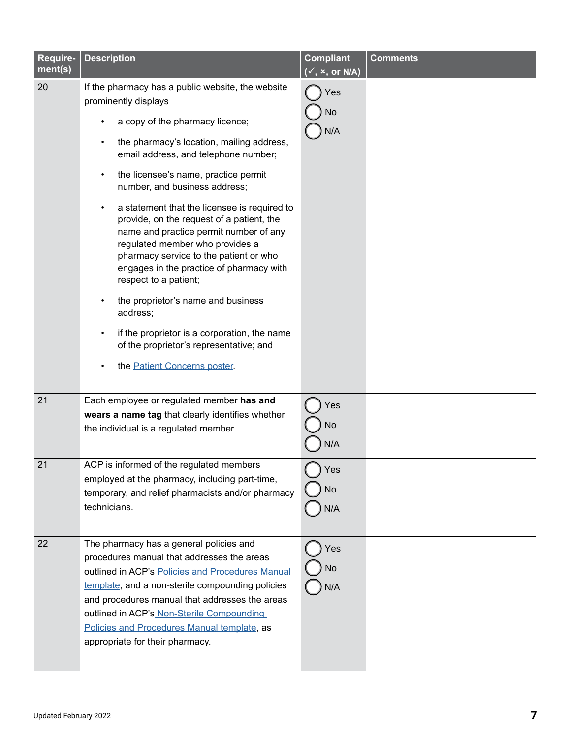| Require-<br>ment(s) | <b>Description</b>                                                                                                                                                                                                                                                                                                                                                                                                                                                                                                                                                                                                                                                                                                                               | <b>Compliant</b><br>$(\checkmark, x, or N/A)$ | <b>Comments</b> |
|---------------------|--------------------------------------------------------------------------------------------------------------------------------------------------------------------------------------------------------------------------------------------------------------------------------------------------------------------------------------------------------------------------------------------------------------------------------------------------------------------------------------------------------------------------------------------------------------------------------------------------------------------------------------------------------------------------------------------------------------------------------------------------|-----------------------------------------------|-----------------|
| 20                  | If the pharmacy has a public website, the website<br>prominently displays<br>a copy of the pharmacy licence;<br>the pharmacy's location, mailing address,<br>email address, and telephone number;<br>the licensee's name, practice permit<br>number, and business address;<br>a statement that the licensee is required to<br>provide, on the request of a patient, the<br>name and practice permit number of any<br>regulated member who provides a<br>pharmacy service to the patient or who<br>engages in the practice of pharmacy with<br>respect to a patient;<br>the proprietor's name and business<br>address;<br>if the proprietor is a corporation, the name<br>of the proprietor's representative; and<br>the Patient Concerns poster. | Yes<br><b>No</b><br>N/A                       |                 |
| 21                  | Each employee or regulated member has and<br>wears a name tag that clearly identifies whether<br>the individual is a regulated member.                                                                                                                                                                                                                                                                                                                                                                                                                                                                                                                                                                                                           | Yes<br>No<br>N/A                              |                 |
| 21                  | ACP is informed of the regulated members<br>employed at the pharmacy, including part-time,<br>temporary, and relief pharmacists and/or pharmacy<br>technicians.                                                                                                                                                                                                                                                                                                                                                                                                                                                                                                                                                                                  | Yes<br>No<br>N/A                              |                 |
| 22                  | The pharmacy has a general policies and<br>procedures manual that addresses the areas<br>outlined in ACP's Policies and Procedures Manual<br>template, and a non-sterile compounding policies<br>and procedures manual that addresses the areas<br>outlined in ACP's Non-Sterile Compounding<br>Policies and Procedures Manual template, as<br>appropriate for their pharmacy.                                                                                                                                                                                                                                                                                                                                                                   | Yes<br>No<br>N/A                              |                 |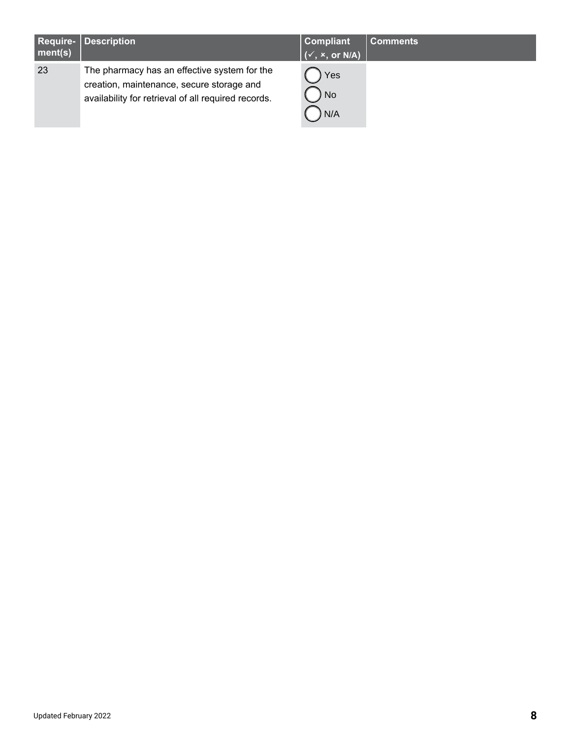| <b>Require-</b><br>ment(s) | <b>Description</b>                                                                                                                               | <b>Compliant</b><br>$\sqrt{(x^2, x^2, \text{or } N/A)}$ | <b>Comments</b> |
|----------------------------|--------------------------------------------------------------------------------------------------------------------------------------------------|---------------------------------------------------------|-----------------|
| 23                         | The pharmacy has an effective system for the<br>creation, maintenance, secure storage and<br>availability for retrieval of all required records. | Yes<br><b>No</b><br>N/A                                 |                 |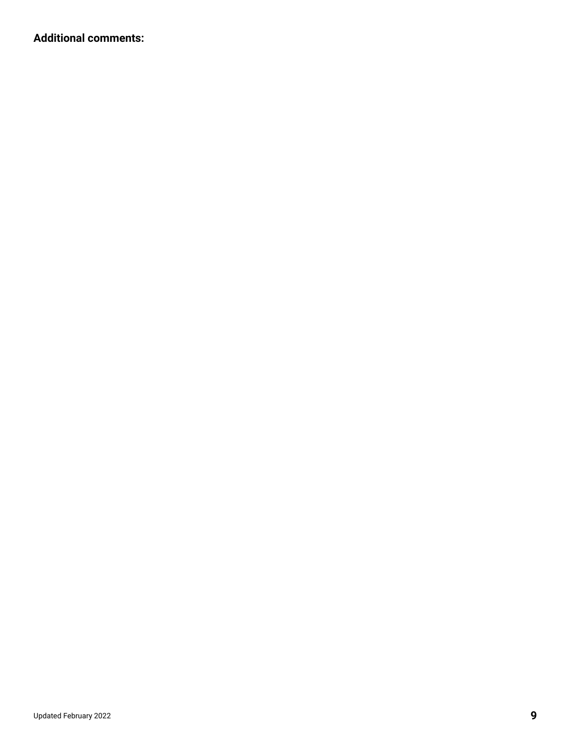**Additional comments:**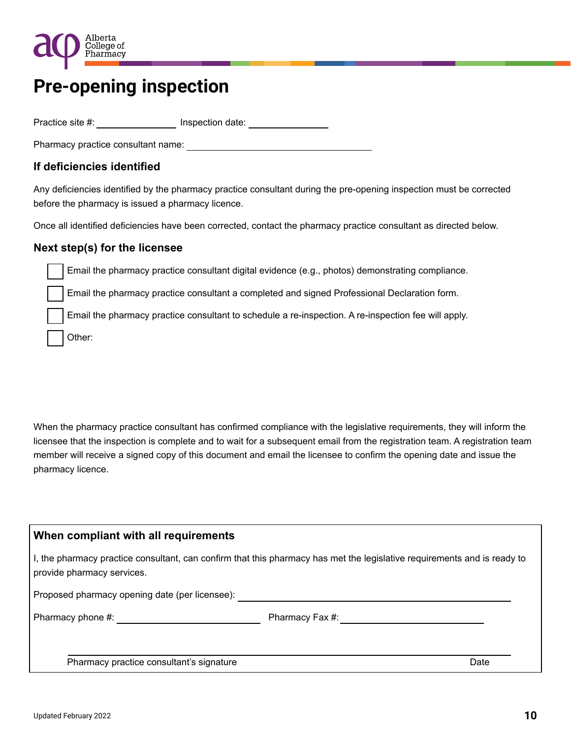

## **Pre-opening inspection**

Practice site #: \_\_\_\_\_\_\_\_\_\_\_\_\_\_\_\_\_\_ Inspection date: \_\_\_\_\_\_\_\_\_\_\_\_\_\_\_\_\_\_\_\_\_\_\_\_\_\_\_

Pharmacy practice consultant name:  $\blacksquare$ 

### **If deficiencies identified**

Any deficiencies identified by the pharmacy practice consultant during the pre-opening inspection must be corrected before the pharmacy is issued a pharmacy licence.

Once all identified deficiencies have been corrected, contact the pharmacy practice consultant as directed below.

#### **Next step(s) for the licensee**

Email the pharmacy practice consultant digital evidence (e.g., photos) demonstrating compliance.

Email the pharmacy practice consultant a completed and signed Professional Declaration form.

Email the pharmacy practice consultant to schedule a re-inspection. A re-inspection fee will apply.

Other:

When the pharmacy practice consultant has confirmed compliance with the legislative requirements, they will inform the licensee that the inspection is complete and to wait for a subsequent email from the registration team. A registration team member will receive a signed copy of this document and email the licensee to confirm the opening date and issue the pharmacy licence.

#### **When compliant with all requirements**

I, the pharmacy practice consultant, can confirm that this pharmacy has met the legislative requirements and is ready to provide pharmacy services.

Proposed pharmacy opening date (per licensee):

Pharmacy phone #:  $P$ harmacy Fax #:

Pharmacy practice consultant's signature Date